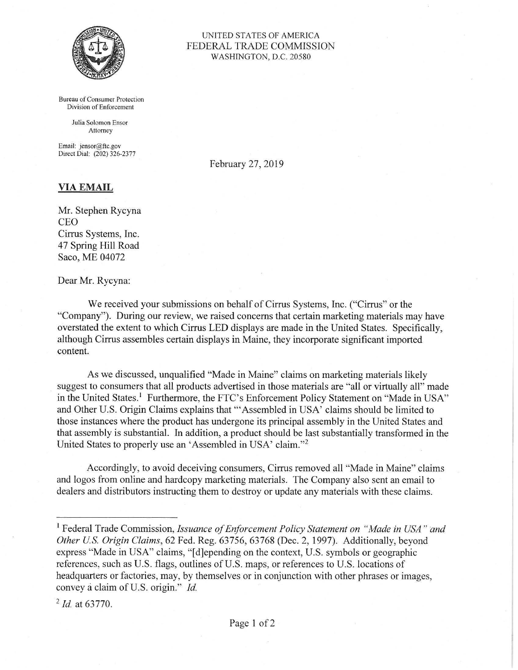

Bureau of Consumer Protection Division of Enforcement

> Julia Solomon Ensor Attorney

Email: jensor@ftc.gov Direct Dial: (202) 326-2377

February 27, 2019

UNITED STATES OF AMERICA FEDERAL TRADE COMMISSION WASHINGTON, D.C. 20580

## **VIA EMAIL**

Mr. Stephen Rycyna CEO Cirrus Systems, Inc. 47 Spring Hill Road Saco, ME 04072

Dear Mr. Rycyna:

We received your submissions on behalf of Cirrus Systems, Inc. ("Cirrus" or the "Company"). During our review, we raised concerns that certain marketing materials may have overstated the extent to which Cirrus LED displays are made in the United States. Specifically, although Cirrus assembles certain displays in Maine, they incorporate significant imported content.

As we discussed, unqualified "Made in Maine" claims on marketing materials likely suggest to consumers that all products advertised in those materials are "all or virtually all" made in the United States.<sup>1</sup> Furthermore, the FTC's Enforcement Policy Statement on "Made in USA" and Other U.S. Origin Claims explains that'"Assembled in USA' claims should be limited to those instances where the product has undergone its principal assembly in the United States and that assembly is substantial. In addition, a product should be last substantially transformed in the United States to properly use an 'Assembled in USA' claim."<sup>2</sup>

Accordingly, to avoid deceiving consumers, Cirrus removed all "Made in Maine" claims and logos from online and hardcopy marketing materials. The Company also sent an email to dealers and distributors instructing them to destroy or update any materials with these claims.

<sup>1</sup> Federal Trade Commission, *Issuance of Enforcement Policy Statement on "Made in USA" and Other U.S. Origin Claims,* 62 Fed. Reg. 63756, 63768 (Dec. 2, 1997). Additionally, beyond express "Made in USA" claims, "[d]epending on the context, U.S. symbols or geographic references, such as U.S. flags, outlines of U.S. maps, or references to U.S. locations of headquarters or factories, may, by themselves or in conjunction with other phrases or images, convey a claim of U.S. origin." *Id.* 

<sup>2</sup>*Id.* at 63770.